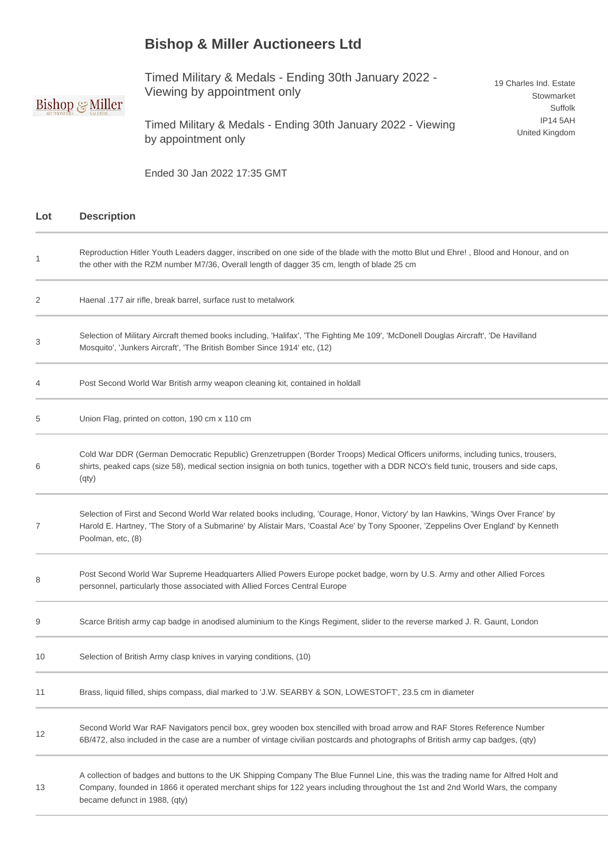## **Bishop & Miller Auctioneers Ltd**

Timed Military & Medals - Ending 30th January 2022 - Viewing by appointment only

## **Bishop & Miller**

Timed Military & Medals - Ending 30th January 2022 - Viewing by appointment only

19 Charles Ind. Estate Stowmarket Suffolk IP14 5AH United Kingdom

Ended 30 Jan 2022 17:35 GMT

| Lot | <b>Description</b>                                                                                                                                                                                                                                                                                   |
|-----|------------------------------------------------------------------------------------------------------------------------------------------------------------------------------------------------------------------------------------------------------------------------------------------------------|
| 1   | Reproduction Hitler Youth Leaders dagger, inscribed on one side of the blade with the motto Blut und Ehre!, Blood and Honour, and on<br>the other with the RZM number M7/36, Overall length of dagger 35 cm, length of blade 25 cm                                                                   |
| 2   | Haenal .177 air rifle, break barrel, surface rust to metalwork                                                                                                                                                                                                                                       |
| 3   | Selection of Military Aircraft themed books including, 'Halifax', 'The Fighting Me 109', 'McDonell Douglas Aircraft', 'De Havilland<br>Mosquito', 'Junkers Aircraft', 'The British Bomber Since 1914' etc, (12)                                                                                      |
| 4   | Post Second World War British army weapon cleaning kit, contained in holdall                                                                                                                                                                                                                         |
| 5   | Union Flag, printed on cotton, 190 cm x 110 cm                                                                                                                                                                                                                                                       |
| 6   | Cold War DDR (German Democratic Republic) Grenzetruppen (Border Troops) Medical Officers uniforms, including tunics, trousers,<br>shirts, peaked caps (size 58), medical section insignia on both tunics, together with a DDR NCO's field tunic, trousers and side caps,<br>(qty)                    |
| 7   | Selection of First and Second World War related books including, 'Courage, Honor, Victory' by Ian Hawkins, 'Wings Over France' by<br>Harold E. Hartney, 'The Story of a Submarine' by Alistair Mars, 'Coastal Ace' by Tony Spooner, 'Zeppelins Over England' by Kenneth<br>Poolman, etc, (8)         |
| 8   | Post Second World War Supreme Headquarters Allied Powers Europe pocket badge, worn by U.S. Army and other Allied Forces<br>personnel, particularly those associated with Allied Forces Central Europe                                                                                                |
| 9   | Scarce British army cap badge in anodised aluminium to the Kings Regiment, slider to the reverse marked J. R. Gaunt, London                                                                                                                                                                          |
| 10  | Selection of British Army clasp knives in varying conditions, (10)                                                                                                                                                                                                                                   |
| 11  | Brass, liquid filled, ships compass, dial marked to 'J.W. SEARBY & SON, LOWESTOFT', 23.5 cm in diameter                                                                                                                                                                                              |
| 12  | Second World War RAF Navigators pencil box, grey wooden box stencilled with broad arrow and RAF Stores Reference Number<br>6B/472, also included in the case are a number of vintage civilian postcards and photographs of British army cap badges, (qty)                                            |
| 13  | A collection of badges and buttons to the UK Shipping Company The Blue Funnel Line, this was the trading name for Alfred Holt and<br>Company, founded in 1866 it operated merchant ships for 122 years including throughout the 1st and 2nd World Wars, the company<br>became defunct in 1988, (qty) |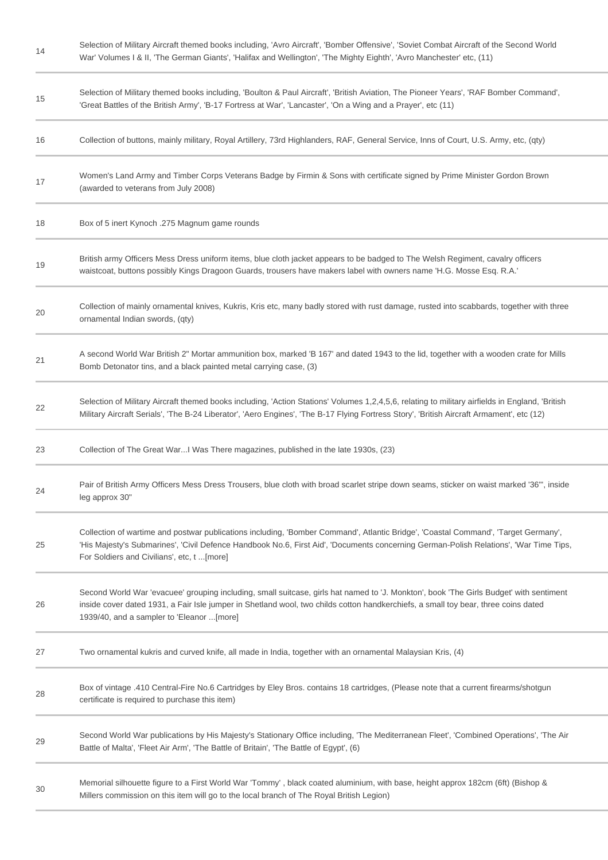| 14 | Selection of Military Aircraft themed books including, 'Avro Aircraft', 'Bomber Offensive', 'Soviet Combat Aircraft of the Second World<br>War' Volumes I & II, 'The German Giants', 'Halifax and Wellington', 'The Mighty Eighth', 'Avro Manchester' etc, (11)                                                            |
|----|----------------------------------------------------------------------------------------------------------------------------------------------------------------------------------------------------------------------------------------------------------------------------------------------------------------------------|
| 15 | Selection of Military themed books including, 'Boulton & Paul Aircraft', 'British Aviation, The Pioneer Years', 'RAF Bomber Command',<br>'Great Battles of the British Army', 'B-17 Fortress at War', 'Lancaster', 'On a Wing and a Prayer', etc (11)                                                                      |
| 16 | Collection of buttons, mainly military, Royal Artillery, 73rd Highlanders, RAF, General Service, Inns of Court, U.S. Army, etc, (qty)                                                                                                                                                                                      |
| 17 | Women's Land Army and Timber Corps Veterans Badge by Firmin & Sons with certificate signed by Prime Minister Gordon Brown<br>(awarded to veterans from July 2008)                                                                                                                                                          |
| 18 | Box of 5 inert Kynoch .275 Magnum game rounds                                                                                                                                                                                                                                                                              |
| 19 | British army Officers Mess Dress uniform items, blue cloth jacket appears to be badged to The Welsh Regiment, cavalry officers<br>waistcoat, buttons possibly Kings Dragoon Guards, trousers have makers label with owners name 'H.G. Mosse Esq. R.A.'                                                                     |
| 20 | Collection of mainly ornamental knives, Kukris, Kris etc, many badly stored with rust damage, rusted into scabbards, together with three<br>ornamental Indian swords, (qty)                                                                                                                                                |
| 21 | A second World War British 2" Mortar ammunition box, marked 'B 167' and dated 1943 to the lid, together with a wooden crate for Mills<br>Bomb Detonator tins, and a black painted metal carrying case, (3)                                                                                                                 |
| 22 | Selection of Military Aircraft themed books including, 'Action Stations' Volumes 1,2,4,5,6, relating to military airfields in England, 'British<br>Military Aircraft Serials', 'The B-24 Liberator', 'Aero Engines', 'The B-17 Flying Fortress Story', 'British Aircraft Armament', etc (12)                               |
| 23 | Collection of The Great WarI Was There magazines, published in the late 1930s, (23)                                                                                                                                                                                                                                        |
| 24 | Pair of British Army Officers Mess Dress Trousers, blue cloth with broad scarlet stripe down seams, sticker on waist marked '36"', inside<br>leg approx 30"                                                                                                                                                                |
| 25 | Collection of wartime and postwar publications including, 'Bomber Command', Atlantic Bridge', 'Coastal Command', 'Target Germany',<br>'His Majesty's Submarines', 'Civil Defence Handbook No.6, First Aid', 'Documents concerning German-Polish Relations', 'War Time Tips,<br>For Soldiers and Civilians', etc, t [more]  |
| 26 | Second World War 'evacuee' grouping including, small suitcase, girls hat named to 'J. Monkton', book 'The Girls Budget' with sentiment<br>inside cover dated 1931, a Fair Isle jumper in Shetland wool, two childs cotton handkerchiefs, a small toy bear, three coins dated<br>1939/40, and a sampler to 'Eleanor  [more] |
| 27 | Two ornamental kukris and curved knife, all made in India, together with an ornamental Malaysian Kris, (4)                                                                                                                                                                                                                 |
| 28 | Box of vintage .410 Central-Fire No.6 Cartridges by Eley Bros. contains 18 cartridges, (Please note that a current firearms/shotgun<br>certificate is required to purchase this item)                                                                                                                                      |
| 29 | Second World War publications by His Majesty's Stationary Office including, 'The Mediterranean Fleet', 'Combined Operations', 'The Air<br>Battle of Malta', 'Fleet Air Arm', 'The Battle of Britain', 'The Battle of Egypt', (6)                                                                                           |
| 30 | Memorial silhouette figure to a First World War 'Tommy', black coated aluminium, with base, height approx 182cm (6ft) (Bishop &<br>Millers commission on this item will go to the local branch of The Royal British Legion)                                                                                                |
|    |                                                                                                                                                                                                                                                                                                                            |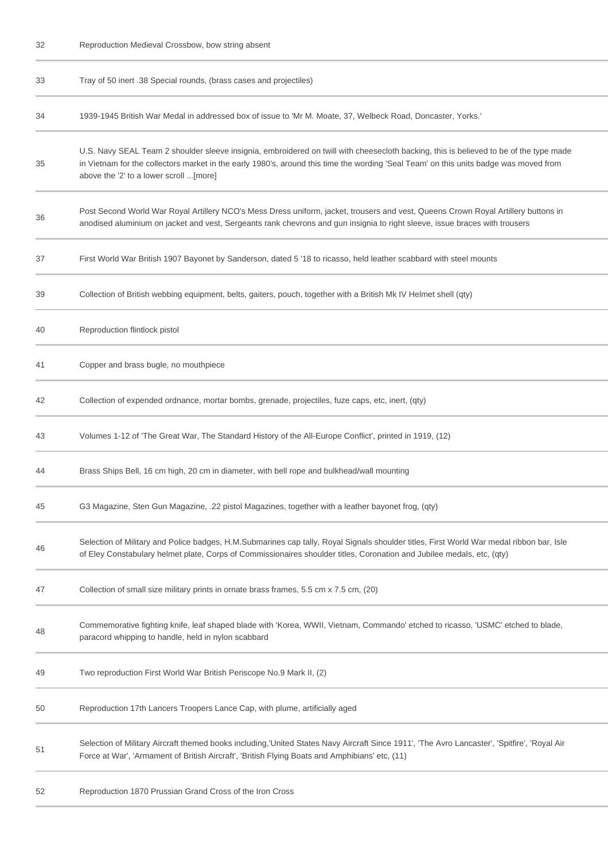Reproduction Medieval Crossbow, bow string absent

| 33 | Tray of 50 inert .38 Special rounds, (brass cases and projectiles)                                                                                                                                                                                                                                                        |
|----|---------------------------------------------------------------------------------------------------------------------------------------------------------------------------------------------------------------------------------------------------------------------------------------------------------------------------|
| 34 | 1939-1945 British War Medal in addressed box of issue to 'Mr M. Moate, 37, Welbeck Road, Doncaster, Yorks.'                                                                                                                                                                                                               |
| 35 | U.S. Navy SEAL Team 2 shoulder sleeve insignia, embroidered on twill with cheesecloth backing, this is believed to be of the type made<br>in Vietnam for the collectors market in the early 1980's, around this time the wording 'Seal Team' on this units badge was moved from<br>above the '2' to a lower scroll [more] |
| 36 | Post Second World War Royal Artillery NCO's Mess Dress uniform, jacket, trousers and vest, Queens Crown Royal Artillery buttons in<br>anodised aluminium on jacket and vest, Sergeants rank chevrons and gun insignia to right sleeve, issue braces with trousers                                                         |
| 37 | First World War British 1907 Bayonet by Sanderson, dated 5 '18 to ricasso, held leather scabbard with steel mounts                                                                                                                                                                                                        |
| 39 | Collection of British webbing equipment, belts, gaiters, pouch, together with a British Mk IV Helmet shell (qty)                                                                                                                                                                                                          |
| 40 | Reproduction flintlock pistol                                                                                                                                                                                                                                                                                             |
| 41 | Copper and brass bugle, no mouthpiece                                                                                                                                                                                                                                                                                     |
| 42 | Collection of expended ordnance, mortar bombs, grenade, projectiles, fuze caps, etc, inert, (qty)                                                                                                                                                                                                                         |
| 43 | Volumes 1-12 of 'The Great War, The Standard History of the All-Europe Conflict', printed in 1919, (12)                                                                                                                                                                                                                   |
| 44 | Brass Ships Bell, 16 cm high, 20 cm in diameter, with bell rope and bulkhead/wall mounting                                                                                                                                                                                                                                |
| 45 | G3 Magazine, Sten Gun Magazine, .22 pistol Magazines, together with a leather bayonet frog, (qty)                                                                                                                                                                                                                         |
| 46 | Selection of Military and Police badges, H.M.Submarines cap tally, Royal Signals shoulder titles, First World War medal ribbon bar, Isle<br>of Eley Constabulary helmet plate, Corps of Commissionaires shoulder titles, Coronation and Jubilee medals, etc, (qty)                                                        |
| 47 | Collection of small size military prints in ornate brass frames, 5.5 cm x 7.5 cm, (20)                                                                                                                                                                                                                                    |
| 48 | Commemorative fighting knife, leaf shaped blade with 'Korea, WWII, Vietnam, Commando' etched to ricasso, 'USMC' etched to blade,<br>paracord whipping to handle, held in nylon scabbard                                                                                                                                   |
| 49 | Two reproduction First World War British Periscope No.9 Mark II, (2)                                                                                                                                                                                                                                                      |
| 50 | Reproduction 17th Lancers Troopers Lance Cap, with plume, artificially aged                                                                                                                                                                                                                                               |
| 51 | Selection of Military Aircraft themed books including, United States Navy Aircraft Since 1911', 'The Avro Lancaster', 'Spitfire', 'Royal Air<br>Force at War', 'Armament of British Aircraft', 'British Flying Boats and Amphibians' etc, (11)                                                                            |
| 52 | Reproduction 1870 Prussian Grand Cross of the Iron Cross                                                                                                                                                                                                                                                                  |